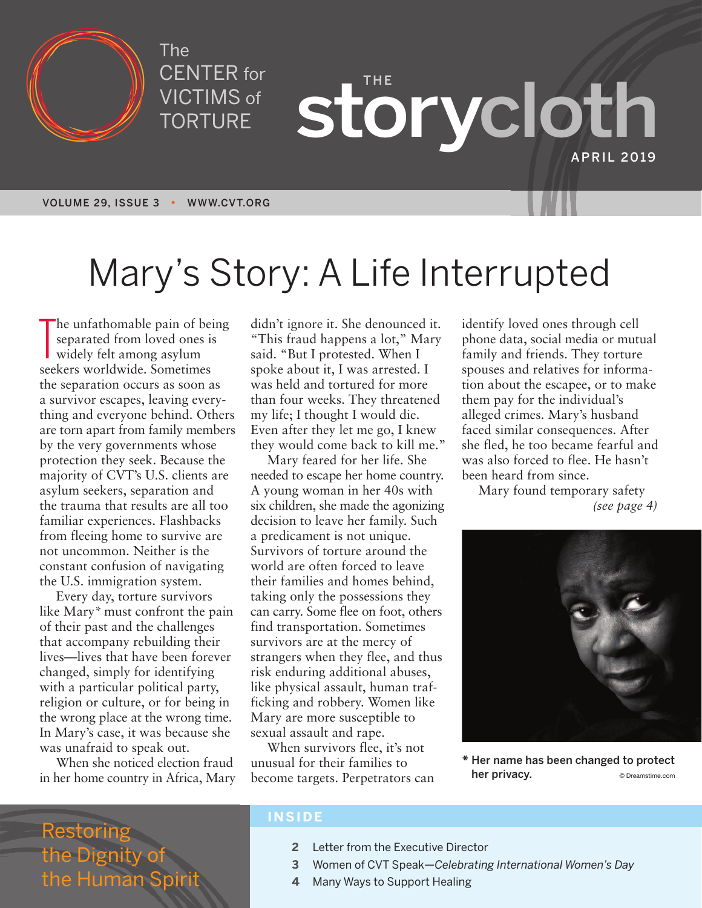

The CENTER for VICTIMS of TORTURE

**THE storycloth APRIL 2019**

# Mary ' s Story: A Life Interrupted

The unfathomable pain of be<br>separated from loved ones i<br>widely felt among asylum<br>seekers worldwide. Sometimes he unfathomable pain of being separated from loved ones is widely felt among asylum the separation occurs as soon as a survivor escapes, leaving everything and everyone behind. Others are torn apart from family members by the very governments whose protection they seek. Because the majority of CVT's U.S. clients are asylum seekers, separation and the trauma that results are all too familiar experiences. Flashbacks from fleeing home to survive are not uncommon. Neither is the constant confusion of navigating the U.S. immigration system.

Every day, torture survivors like Mary\* must confront the pain of their past and the challenges that accompany rebuilding their lives—lives that have been forever changed, simply for identifying with a particular political party, religion or culture, or for being in the wrong place at the wrong time. In Mary's case, it was because she was unafraid to speak out.

When she noticed election fraud in her home country in Africa, Mary didn't ignore it. She denounced it. "This fraud happens a lot," Mary said. "But I protested. When I spoke about it, I was arrested. I was held and tortured for more than four weeks. They threatened my life; I thought I would die. Even after they let me go, I knew they would come back to kill me."

Mary feared for her life. She needed to escape her home country. A young woman in her 40s with six children, she made the agonizing decision to leave her family. Such a predicament is not unique. Survivors of torture around the world are often forced to leave their families and homes behind, taking only the possessions they can carry. Some flee on foot, others find transportation. Sometimes survivors are at the mercy of strangers when they flee, and thus risk enduring additional abuses, like physical assault, human trafficking and robbery. Women like Mary are more susceptible to sexual assault and rape.

When survivors flee, it's not unusual for their families to become targets. Perpetrators can identify loved ones through cell phone data, social media or mutual family and friends. They torture spouses and relatives for information about the escapee, or to make them pay for the individual's alleged crimes. Mary's husband faced similar consequences. After she fled, he too became fearful and was also forced to flee. He hasn't been heard from since.

Mary found temporary safety *(see page 4)*



**\* Her name has been changed to protect her privacy.** © Dreamstime.com

### Restoring the Dignity of the Human Sp

#### **INSIDE**

- **2** Letter from the Executive Director
- **3** Women of CVT Speak—*Celebrating International Women's Day*
- **4** Many Ways to Support Healing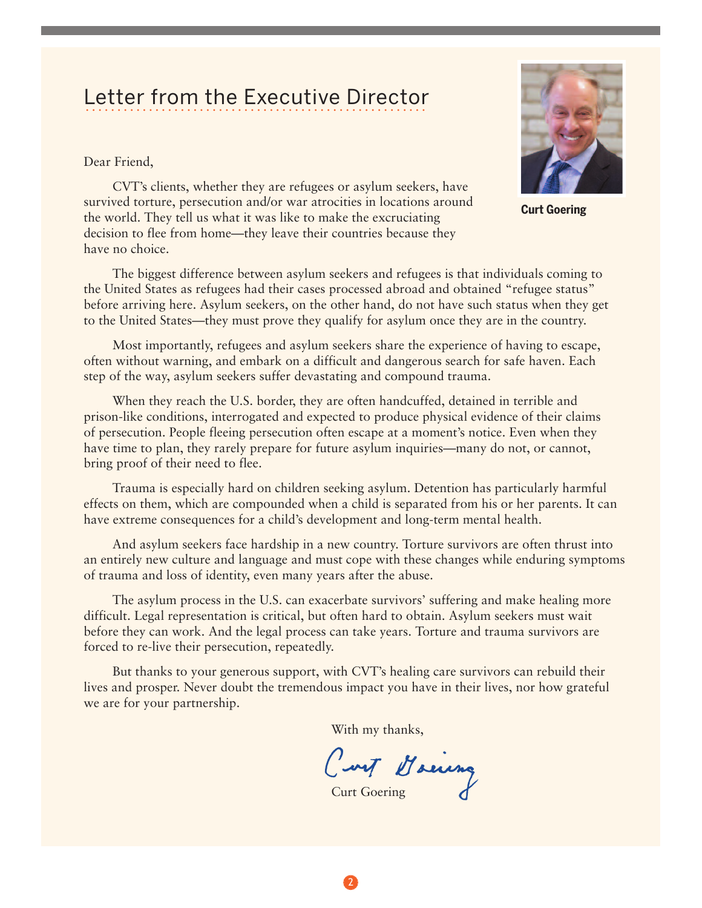### Letter from the Executive Director LULLUI TIUITI LIIU LAUUULIVU DIIUULUI

Dear Friend,



**Curt Goering**

CVT's clients, whether they are refugees or asylum seekers, have survived torture, persecution and/or war atrocities in locations around the world. They tell us what it was like to make the excruciating decision to flee from home—they leave their countries because they have no choice.

The biggest difference between asylum seekers and refugees is that individuals coming to the United States as refugees had their cases processed abroad and obtained "refugee status" before arriving here. Asylum seekers, on the other hand, do not have such status when they get to the United States—they must prove they qualify for asylum once they are in the country.

Most importantly, refugees and asylum seekers share the experience of having to escape, often without warning, and embark on a difficult and dangerous search for safe haven. Each step of the way, asylum seekers suffer devastating and compound trauma.

When they reach the U.S. border, they are often handcuffed, detained in terrible and prison-like conditions, interrogated and expected to produce physical evidence of their claims of persecution. People fleeing persecution often escape at a moment's notice. Even when they have time to plan, they rarely prepare for future asylum inquiries—many do not, or cannot, bring proof of their need to flee.

Trauma is especially hard on children seeking asylum. Detention has particularly harmful effects on them, which are compounded when a child is separated from his or her parents. It can have extreme consequences for a child's development and long-term mental health.

And asylum seekers face hardship in a new country. Torture survivors are often thrust into an entirely new culture and language and must cope with these changes while enduring symptoms of trauma and loss of identity, even many years after the abuse.

The asylum process in the U.S. can exacerbate survivors' suffering and make healing more difficult. Legal representation is critical, but often hard to obtain. Asylum seekers must wait before they can work. And the legal process can take years. Torture and trauma survivors are forced to re-live their persecution, repeatedly.

But thanks to your generous support, with CVT's healing care survivors can rebuild their lives and prosper. Never doubt the tremendous impact you have in their lives, nor how grateful we are for your partnership.

With my thanks,<br>Curt Maeing

Curt Goering

2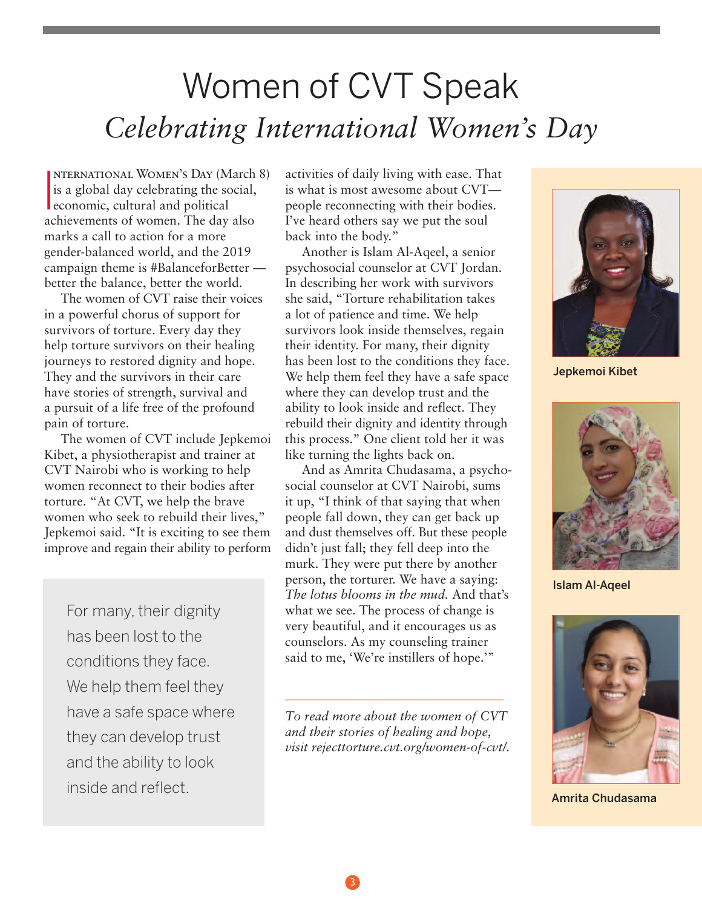## Women of CVT Speak *Celebrating International Women ' s Day*

I nternational Women's Day (March 8) is a global day celebrating the social, economic, cultural and political achievements of women. The day also marks a call to action for a more gender-balanced world, and the 2019 campaign theme is #BalanceforBetter better the balance, better the world.

The women of CVT raise their voices in a powerful chorus of support for survivors of torture. Every day they help torture survivors on their healing journeys to restored dignity and hope. They and the survivors in their care have stories of strength, survival and a pursuit of a life free of the profound pain of torture.

The women of CVT include Jepkemoi Kibet, a physiotherapist and trainer at CVT Nairobi who is working to help women reconnect to their bodies after torture. "At CVT, we help the brave women who seek to rebuild their lives," Jepkemoi said. "It is exciting to see them improve and regain their ability to perform

For many, their dignity has been lost to the conditions they face. We help them feel they have a safe space where they can develop trust and the ability to look inside and reflect.

activities of daily living with ease. That is what is most awesome about CVT people reconnecting with their bodies. I've heard others say we put the soul back into the body."

Another is Islam Al-Aqeel, a senior psychosocial counselor at CVT Jordan. In describing her work with survivors she said, "Torture rehabilitation takes a lot of patience and time. We help survivors look inside themselves, regain their identity. For many, their dignity has been lost to the conditions they face. We help them feel they have a safe space where they can develop trust and the ability to look inside and reflect. They rebuild their dignity and identity through this process." One client told her it was like turning the lights back on.

And as Amrita Chudasama, a psychosocial counselor at CVT Nairobi, sums it up, "I think of that saying that when people fall down, they can get back up and dust themselves off. But these people didn't just fall; they fell deep into the murk. They were put there by another person, the torturer. We have a saying: *The lotus blooms in the mud.* And that's what we see. The process of change is very beautiful, and it encourages us as counselors. As my counseling trainer said to me, 'We're instillers of hope.'"

*To read more about the women of CVT and their stories of healing and hope, visit rejecttorture.cvt.org/women-of-cvt/.*

\_\_\_\_\_\_\_\_\_\_\_\_\_\_\_\_\_\_\_\_\_\_\_\_\_\_\_\_\_\_\_\_\_\_



**Jepkemoi Kibet**



**Islam Al-Aqeel**



**Amrita Chudasama**